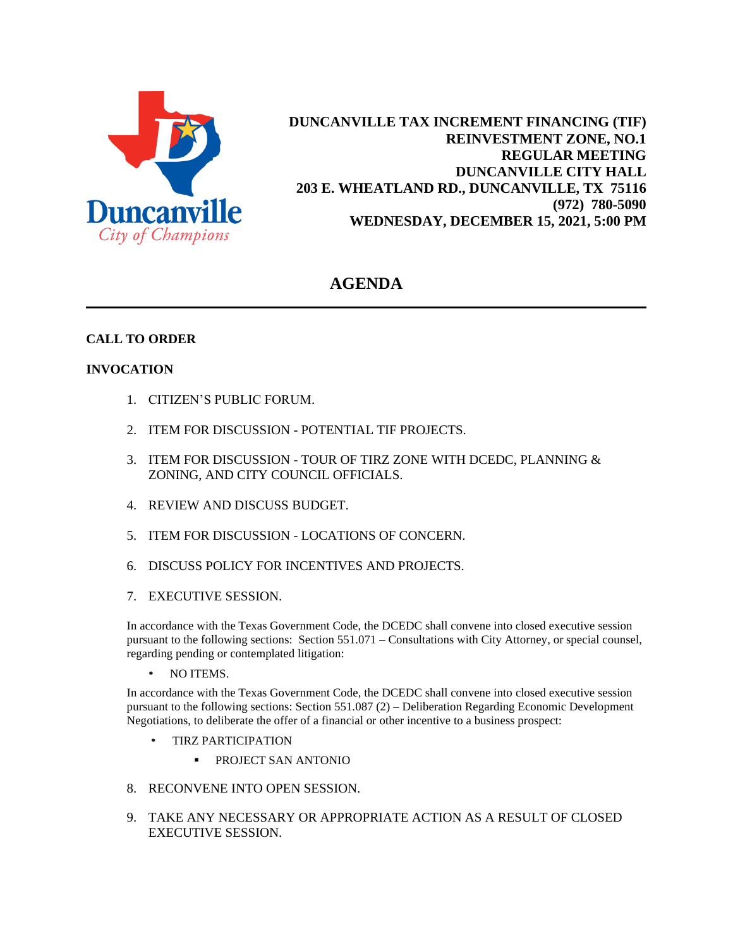

**DUNCANVILLE TAX INCREMENT FINANCING (TIF) REINVESTMENT ZONE, NO.1 REGULAR MEETING DUNCANVILLE CITY HALL 203 E. WHEATLAND RD., DUNCANVILLE, TX 75116 (972) 780-5090 WEDNESDAY, DECEMBER 15, 2021, 5:00 PM**

# **AGENDA**

# **CALL TO ORDER**

## **INVOCATION**

- 1. CITIZEN'S PUBLIC FORUM.
- 2. ITEM FOR DISCUSSION POTENTIAL TIF PROJECTS.
- 3. ITEM FOR DISCUSSION TOUR OF TIRZ ZONE WITH DCEDC, PLANNING & ZONING, AND CITY COUNCIL OFFICIALS.
- 4. REVIEW AND DISCUSS BUDGET.
- 5. ITEM FOR DISCUSSION LOCATIONS OF CONCERN.
- 6. DISCUSS POLICY FOR INCENTIVES AND PROJECTS.
- 7. EXECUTIVE SESSION.

In accordance with the Texas Government Code, the DCEDC shall convene into closed executive session pursuant to the following sections: Section 551.071 – Consultations with City Attorney, or special counsel, regarding pending or contemplated litigation:

• NO ITEMS.

In accordance with the Texas Government Code, the DCEDC shall convene into closed executive session pursuant to the following sections: Section 551.087 (2) – Deliberation Regarding Economic Development Negotiations, to deliberate the offer of a financial or other incentive to a business prospect:

- TIRZ PARTICIPATION
	- **PROJECT SAN ANTONIO**
- 8. RECONVENE INTO OPEN SESSION.
- 9. TAKE ANY NECESSARY OR APPROPRIATE ACTION AS A RESULT OF CLOSED EXECUTIVE SESSION.